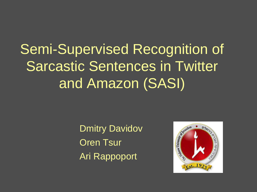### Semi-Supervised Recognition of Sarcastic Sentences in Twitter and Amazon (SASI)

Dmitry Davidov Oren Tsur Ari Rappoport

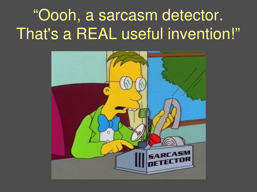# "Oooh, a sarcasm detector. That's a REAL useful invention!"

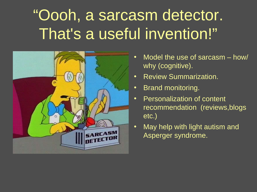# "Oooh, a sarcasm detector. That's a useful invention!"



- Model the use of sarcasm how/ why (cognitive).
- Review Summarization.
- Brand monitoring.
- Personalization of content recommendation (reviews,blogs etc.)
- May help with light autism and Asperger syndrome.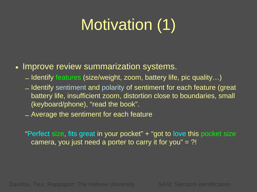# Motivation (1)

#### • Improve review summarization systems.

- Identify features (size/weight, zoom, battery life, pic quality…)
- Identify sentiment and polarity of sentiment for each feature (great battery life, insufficient zoom, distortion close to boundaries, small (keyboard/phone), "read the book".
- Average the sentiment for each feature

"Perfect size, fits great in your pocket" + "got to love this pocket size camera, you just need a porter to carry it for you"  $=$  ?!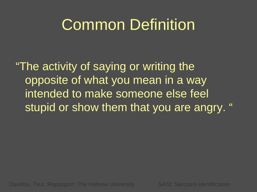#### Common Definition

"The activity of saying or writing the opposite of what you mean in a way intended to make someone else feel stupid or show them that you are angry. "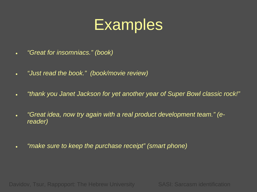#### **Examples**

- *"Great for insomniacs." (book)*
- *"Just read the book." (book/movie review)*
- *"thank you Janet Jackson for yet another year of Super Bowl classic rock!"*
- *"Great idea, now try again with a real product development team." (ereader)*
- *"make sure to keep the purchase receipt" (smart phone)*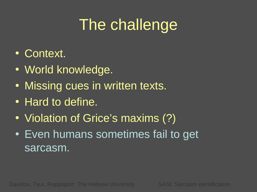# The challenge

- Context.
- World knowledge.
- Missing cues in written texts.
- Hard to define.
- Violation of Grice's maxims (?)
- Even humans sometimes fail to get sarcasm.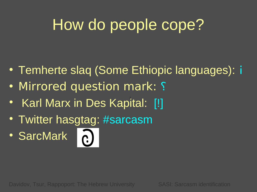# How do people cope?

- Temherte slaq (Some Ethiopic languages): i
- Mirrored question mark: ?
- Karl Marx in Des Kapital: [!]
- Twitter hasgtag: #sarcasm
- SarcMark **a**

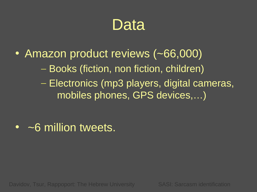#### Data

- Amazon product reviews (~66,000)
	- Books (fiction, non fiction, children)
	- Electronics (mp3 players, digital cameras, mobiles phones, GPS devices,…)

• ~6 million tweets.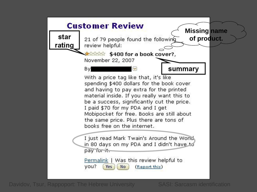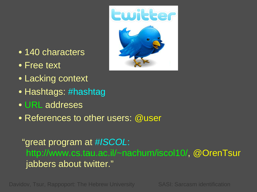

- 140 characters
- Free text
- Lacking context
- Hashtags: #hashtag
- URL addreses
- References to other users: @user

"great program at *#ISCOL*: http://www.cs.tau.ac.il/~nachum/iscol10/, @OrenTsur jabbers about twitter."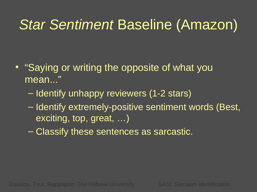#### *Star Sentiment* Baseline (Amazon)

- "Saying or writing the opposite of what you mean..."
	- Identify unhappy reviewers (1-2 stars)
	- Identify extremely-positive sentiment words (Best, exciting, top, great, …)
	- Classify these sentences as sarcastic.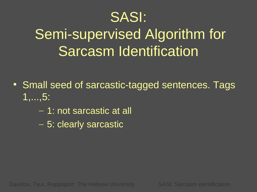#### SASI:

## Semi-supervised Algorithm for Sarcasm Identification

- Small seed of sarcastic-tagged sentences. Tags 1,...,5:
	- 1: not sarcastic at all
	- 5: clearly sarcastic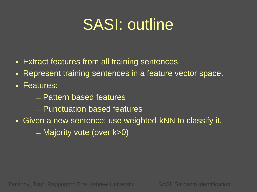### SASI: outline

- Extract features from all training sentences.
- Represent training sentences in a feature vector space.
- Features:
	- Pattern based features
	- Punctuation based features
- Given a new sentence: use weighted-kNN to classify it. – Majority vote (over k>0)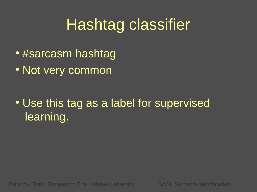### Hashtag classifier

- #sarcasm hashtag
- Not very common

• Use this tag as a label for supervised learning.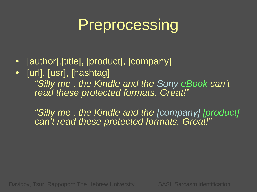### Preprocessing

- [author], [title], [product], [company]
- [url], [usr], [hashtag] – *"Silly me , the Kindle and the Sony eBook can't read these protected formats. Great!"*

– *"Silly me , the Kindle and the [company] [product] can't read these protected formats. Great!"*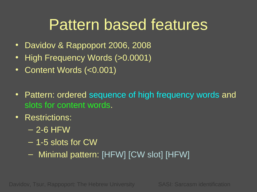### Pattern based features

- Davidov & Rappoport 2006, 2008
- High Frequency Words (>0.0001)
- Content Words (<0.001)
- Pattern: ordered sequence of high frequency words and slots for content words.
- Restrictions:
	- $-$  2-6 HFW
	- 1-5 slots for CW
	- Minimal pattern: [HFW] [CW slot] [HFW]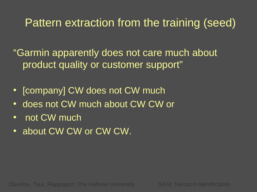#### Pattern extraction from the training (seed)

"Garmin apparently does not care much about product quality or customer support"

- [company] CW does not CW much
- does not CW much about CW CW or
- not CW much
- about CW CW or CW CW.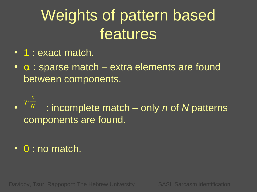# Weights of pattern based features

- 1 : exact match.
- $\bullet$   $\alpha$  : sparse match extra elements are found between components.

• : incomplete match – only *n* of *N* patterns components are found. *γ*⋅ *n N*

• 0 : no match.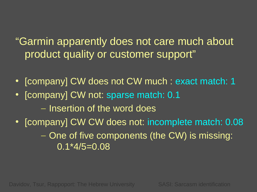#### "Garmin apparently does not care much about product quality or customer support"

- [company] CW does not CW much : exact match: 1
- [company] CW not: sparse match: 0.1
	- Insertion of the word does
- [company] CW CW does not: incomplete match: 0.08 – One of five components (the CW) is missing: 0.1\*4/5=0.08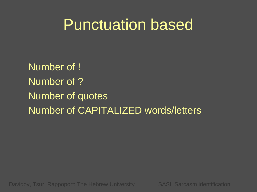#### Punctuation based

Number of ! Number of ? Number of quotes Number of CAPITALIZED words/letters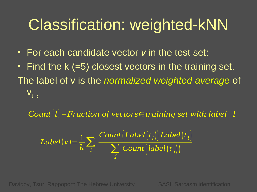### Classification: weighted-kNN

- For each candidate vector *v* in the test set:
- Find the k (=5) closest vectors in the training set. The label of v is the *normalized weighted average* of  $V_{1.5}$

*Count* $|l|$  = Fraction of vectors∈*training set with label l* 

$$
Label(v) = \frac{1}{k} \sum_{i} \frac{Count(Label(t_i)) Label(t_i)}{\sum_{j} Count(label(t_j))}
$$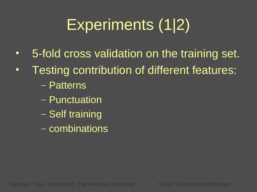# Experiments (1|2)

- 5-fold cross validation on the training set.
- Testing contribution of different features:
	- Patterns
	- Punctuation
	- Self training
	- combinations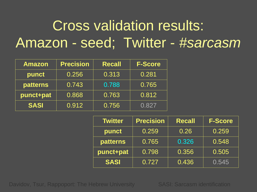#### Cross validation results: Amazon - seed; Twitter - *#sarcasm*

| <b>Amazon</b>   | <b>Precision</b> | <b>Recall</b> | <b>F-Score</b> |
|-----------------|------------------|---------------|----------------|
| punct           | 0.256            | 0.313         | 0.281          |
| <b>patterns</b> | 0.743            | 0.788         | 0.765          |
| punct+pat       | 0.868            | 0.763         | 0.812          |
| <b>SASI</b>     | 0.912            | 0.756         | 0.827          |

| <b>Twitter</b>  | <b>Precision</b> | <b>Recall</b> | <b>F-Score</b> |
|-----------------|------------------|---------------|----------------|
| punct           | 0.259            | 0.26          | 0.259          |
| <b>patterns</b> | 0.765            | 0.326         | 0.548          |
| punct+pat       | 0.798            | 0.356         | 0.505          |
| <b>SASI</b>     | 0.727            | 0.436         | 0.545          |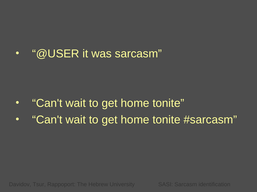#### • "@USER it was sarcasm"

- "Can't wait to get home tonite"
- "Can't wait to get home tonite #sarcasm"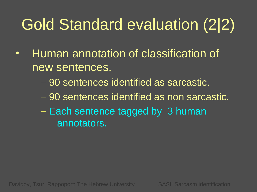# Gold Standard evaluation (2|2)

- Human annotation of classification of new sentences.
	- 90 sentences identified as sarcastic.
	- 90 sentences identified as non sarcastic.
	- Each sentence tagged by 3 human annotators.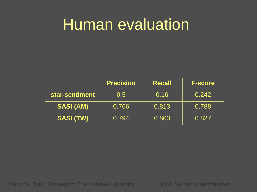#### Human evaluation

|                  | <b>Precision</b> | <b>Recall</b> | <b>F-score</b> |
|------------------|------------------|---------------|----------------|
| star-sentiment   | 0.5              | 0.16          | 0.242          |
| <b>SASI (AM)</b> | 0.766            | 0.813         | 0.788          |
| <b>SASI (TW)</b> | 0.794            | 0.863         | 0.827          |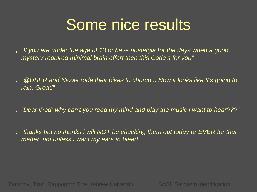## Some nice results

- *"If you are under the age of 13 or have nostalgia for the days when a good mystery required minimal brain effort then this Code's for you"*
- *"@USER and Nicole rode their bikes to church... Now it looks like It's going to rain. Great!"*
- *"Dear iPod: why can't you read my mind and play the music i want to hear???"*
- *"thanks but no thanks i will NOT be checking them out today or EVER for that matter. not unless i want my ears to bleed.*